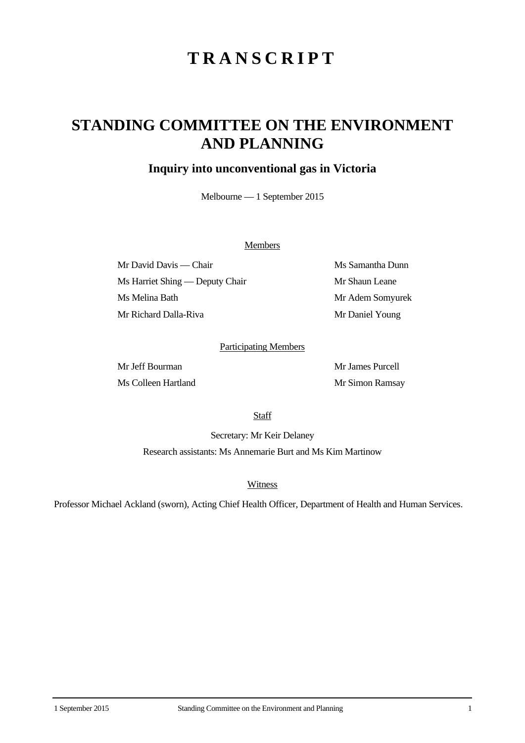# **TRANSCRIPT**

## **STANDING COMMITTEE ON THE ENVIRONMENT AND PLANNING**

### **Inquiry into unconventional gas in Victoria**

Melbourne — 1 September 2015

#### Members

Mr David Davis — Chair Ms Samantha Dunn Ms Harriet Shing — Deputy Chair Mr Shaun Leane Ms Melina Bath Mr Adem Somyurek Mr Richard Dalla-Riva Mr Daniel Young

#### Participating Members

Mr Jeff Bourman Mr James Purcell Ms Colleen Hartland Mr Simon Ramsay

**Staff** 

Secretary: Mr Keir Delaney Research assistants: Ms Annemarie Burt and Ms Kim Martinow

**Witness** 

Professor Michael Ackland (sworn), Acting Chief Health Officer, Department of Health and Human Services.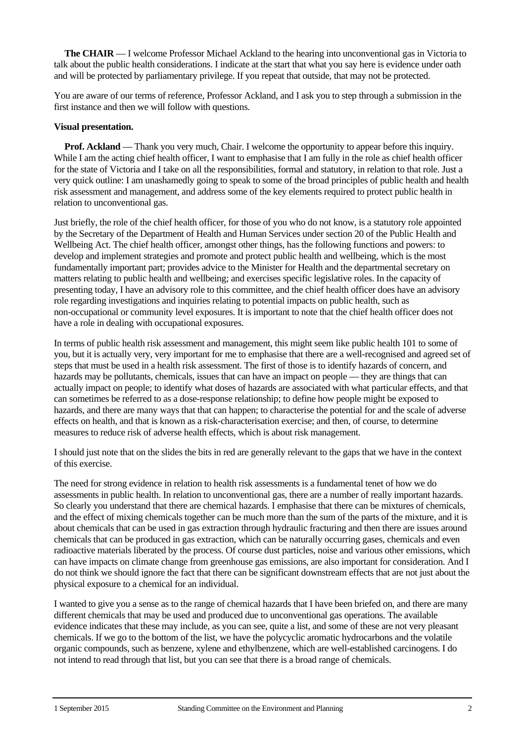**The CHAIR** — I welcome Professor Michael Ackland to the hearing into unconventional gas in Victoria to talk about the public health considerations. I indicate at the start that what you say here is evidence under oath and will be protected by parliamentary privilege. If you repeat that outside, that may not be protected.

You are aware of our terms of reference, Professor Ackland, and I ask you to step through a submission in the first instance and then we will follow with questions.

#### **Visual presentation.**

**Prof.** Ackland — Thank you very much, Chair. I welcome the opportunity to appear before this inquiry. While I am the acting chief health officer, I want to emphasise that I am fully in the role as chief health officer for the state of Victoria and I take on all the responsibilities, formal and statutory, in relation to that role. Just a very quick outline: I am unashamedly going to speak to some of the broad principles of public health and health risk assessment and management, and address some of the key elements required to protect public health in relation to unconventional gas.

Just briefly, the role of the chief health officer, for those of you who do not know, is a statutory role appointed by the Secretary of the Department of Health and Human Services under section 20 of the Public Health and Wellbeing Act. The chief health officer, amongst other things, has the following functions and powers: to develop and implement strategies and promote and protect public health and wellbeing, which is the most fundamentally important part; provides advice to the Minister for Health and the departmental secretary on matters relating to public health and wellbeing; and exercises specific legislative roles. In the capacity of presenting today, I have an advisory role to this committee, and the chief health officer does have an advisory role regarding investigations and inquiries relating to potential impacts on public health, such as non-occupational or community level exposures. It is important to note that the chief health officer does not have a role in dealing with occupational exposures.

In terms of public health risk assessment and management, this might seem like public health 101 to some of you, but it is actually very, very important for me to emphasise that there are a well-recognised and agreed set of steps that must be used in a health risk assessment. The first of those is to identify hazards of concern, and hazards may be pollutants, chemicals, issues that can have an impact on people — they are things that can actually impact on people; to identify what doses of hazards are associated with what particular effects, and that can sometimes be referred to as a dose-response relationship; to define how people might be exposed to hazards, and there are many ways that that can happen; to characterise the potential for and the scale of adverse effects on health, and that is known as a risk-characterisation exercise; and then, of course, to determine measures to reduce risk of adverse health effects, which is about risk management.

I should just note that on the slides the bits in red are generally relevant to the gaps that we have in the context of this exercise.

The need for strong evidence in relation to health risk assessments is a fundamental tenet of how we do assessments in public health. In relation to unconventional gas, there are a number of really important hazards. So clearly you understand that there are chemical hazards. I emphasise that there can be mixtures of chemicals, and the effect of mixing chemicals together can be much more than the sum of the parts of the mixture, and it is about chemicals that can be used in gas extraction through hydraulic fracturing and then there are issues around chemicals that can be produced in gas extraction, which can be naturally occurring gases, chemicals and even radioactive materials liberated by the process. Of course dust particles, noise and various other emissions, which can have impacts on climate change from greenhouse gas emissions, are also important for consideration. And I do not think we should ignore the fact that there can be significant downstream effects that are not just about the physical exposure to a chemical for an individual.

I wanted to give you a sense as to the range of chemical hazards that I have been briefed on, and there are many different chemicals that may be used and produced due to unconventional gas operations. The available evidence indicates that these may include, as you can see, quite a list, and some of these are not very pleasant chemicals. If we go to the bottom of the list, we have the polycyclic aromatic hydrocarbons and the volatile organic compounds, such as benzene, xylene and ethylbenzene, which are well-established carcinogens. I do not intend to read through that list, but you can see that there is a broad range of chemicals.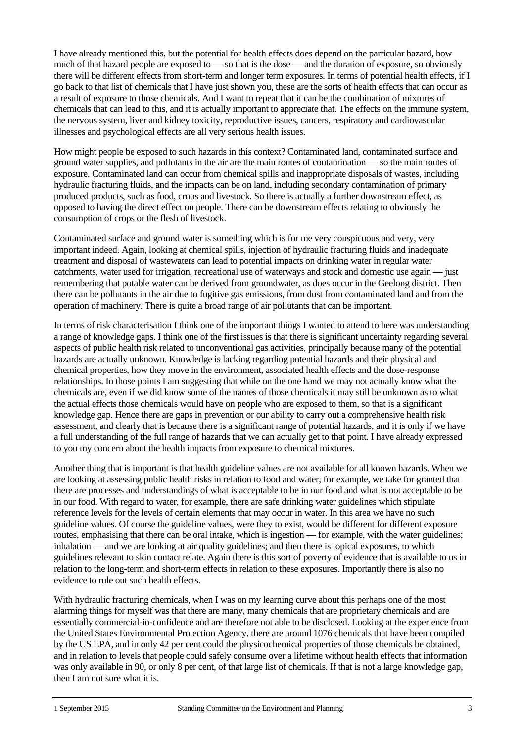I have already mentioned this, but the potential for health effects does depend on the particular hazard, how much of that hazard people are exposed to — so that is the dose — and the duration of exposure, so obviously there will be different effects from short-term and longer term exposures. In terms of potential health effects, if I go back to that list of chemicals that I have just shown you, these are the sorts of health effects that can occur as a result of exposure to those chemicals. And I want to repeat that it can be the combination of mixtures of chemicals that can lead to this, and it is actually important to appreciate that. The effects on the immune system, the nervous system, liver and kidney toxicity, reproductive issues, cancers, respiratory and cardiovascular illnesses and psychological effects are all very serious health issues.

How might people be exposed to such hazards in this context? Contaminated land, contaminated surface and ground water supplies, and pollutants in the air are the main routes of contamination — so the main routes of exposure. Contaminated land can occur from chemical spills and inappropriate disposals of wastes, including hydraulic fracturing fluids, and the impacts can be on land, including secondary contamination of primary produced products, such as food, crops and livestock. So there is actually a further downstream effect, as opposed to having the direct effect on people. There can be downstream effects relating to obviously the consumption of crops or the flesh of livestock.

Contaminated surface and ground water is something which is for me very conspicuous and very, very important indeed. Again, looking at chemical spills, injection of hydraulic fracturing fluids and inadequate treatment and disposal of wastewaters can lead to potential impacts on drinking water in regular water catchments, water used for irrigation, recreational use of waterways and stock and domestic use again — just remembering that potable water can be derived from groundwater, as does occur in the Geelong district. Then there can be pollutants in the air due to fugitive gas emissions, from dust from contaminated land and from the operation of machinery. There is quite a broad range of air pollutants that can be important.

In terms of risk characterisation I think one of the important things I wanted to attend to here was understanding a range of knowledge gaps. I think one of the first issues is that there is significant uncertainty regarding several aspects of public health risk related to unconventional gas activities, principally because many of the potential hazards are actually unknown. Knowledge is lacking regarding potential hazards and their physical and chemical properties, how they move in the environment, associated health effects and the dose-response relationships. In those points I am suggesting that while on the one hand we may not actually know what the chemicals are, even if we did know some of the names of those chemicals it may still be unknown as to what the actual effects those chemicals would have on people who are exposed to them, so that is a significant knowledge gap. Hence there are gaps in prevention or our ability to carry out a comprehensive health risk assessment, and clearly that is because there is a significant range of potential hazards, and it is only if we have a full understanding of the full range of hazards that we can actually get to that point. I have already expressed to you my concern about the health impacts from exposure to chemical mixtures.

Another thing that is important is that health guideline values are not available for all known hazards. When we are looking at assessing public health risks in relation to food and water, for example, we take for granted that there are processes and understandings of what is acceptable to be in our food and what is not acceptable to be in our food. With regard to water, for example, there are safe drinking water guidelines which stipulate reference levels for the levels of certain elements that may occur in water. In this area we have no such guideline values. Of course the guideline values, were they to exist, would be different for different exposure routes, emphasising that there can be oral intake, which is ingestion — for example, with the water guidelines; inhalation — and we are looking at air quality guidelines; and then there is topical exposures, to which guidelines relevant to skin contact relate. Again there is this sort of poverty of evidence that is available to us in relation to the long-term and short-term effects in relation to these exposures. Importantly there is also no evidence to rule out such health effects.

With hydraulic fracturing chemicals, when I was on my learning curve about this perhaps one of the most alarming things for myself was that there are many, many chemicals that are proprietary chemicals and are essentially commercial-in-confidence and are therefore not able to be disclosed. Looking at the experience from the United States Environmental Protection Agency, there are around 1076 chemicals that have been compiled by the US EPA, and in only 42 per cent could the physicochemical properties of those chemicals be obtained, and in relation to levels that people could safely consume over a lifetime without health effects that information was only available in 90, or only 8 per cent, of that large list of chemicals. If that is not a large knowledge gap, then I am not sure what it is.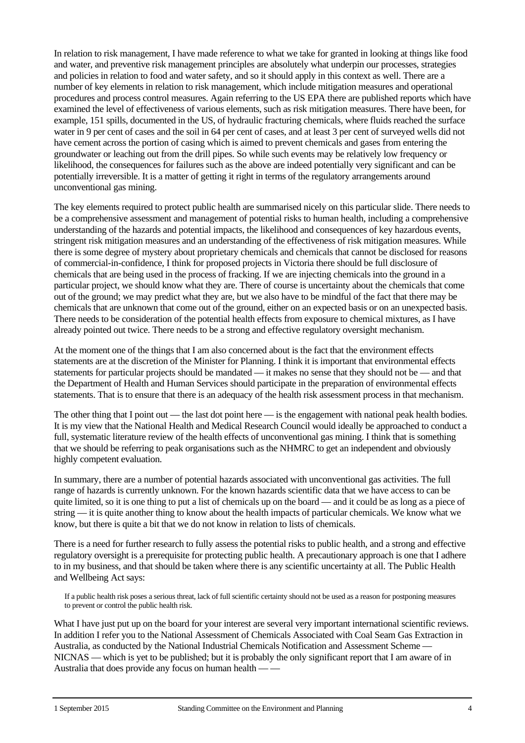In relation to risk management, I have made reference to what we take for granted in looking at things like food and water, and preventive risk management principles are absolutely what underpin our processes, strategies and policies in relation to food and water safety, and so it should apply in this context as well. There are a number of key elements in relation to risk management, which include mitigation measures and operational procedures and process control measures. Again referring to the US EPA there are published reports which have examined the level of effectiveness of various elements, such as risk mitigation measures. There have been, for example, 151 spills, documented in the US, of hydraulic fracturing chemicals, where fluids reached the surface water in 9 per cent of cases and the soil in 64 per cent of cases, and at least 3 per cent of surveyed wells did not have cement across the portion of casing which is aimed to prevent chemicals and gases from entering the groundwater or leaching out from the drill pipes. So while such events may be relatively low frequency or likelihood, the consequences for failures such as the above are indeed potentially very significant and can be potentially irreversible. It is a matter of getting it right in terms of the regulatory arrangements around unconventional gas mining.

The key elements required to protect public health are summarised nicely on this particular slide. There needs to be a comprehensive assessment and management of potential risks to human health, including a comprehensive understanding of the hazards and potential impacts, the likelihood and consequences of key hazardous events, stringent risk mitigation measures and an understanding of the effectiveness of risk mitigation measures. While there is some degree of mystery about proprietary chemicals and chemicals that cannot be disclosed for reasons of commercial-in-confidence, I think for proposed projects in Victoria there should be full disclosure of chemicals that are being used in the process of fracking. If we are injecting chemicals into the ground in a particular project, we should know what they are. There of course is uncertainty about the chemicals that come out of the ground; we may predict what they are, but we also have to be mindful of the fact that there may be chemicals that are unknown that come out of the ground, either on an expected basis or on an unexpected basis. There needs to be consideration of the potential health effects from exposure to chemical mixtures, as I have already pointed out twice. There needs to be a strong and effective regulatory oversight mechanism.

At the moment one of the things that I am also concerned about is the fact that the environment effects statements are at the discretion of the Minister for Planning. I think it is important that environmental effects statements for particular projects should be mandated — it makes no sense that they should not be — and that the Department of Health and Human Services should participate in the preparation of environmental effects statements. That is to ensure that there is an adequacy of the health risk assessment process in that mechanism.

The other thing that I point out — the last dot point here — is the engagement with national peak health bodies. It is my view that the National Health and Medical Research Council would ideally be approached to conduct a full, systematic literature review of the health effects of unconventional gas mining. I think that is something that we should be referring to peak organisations such as the NHMRC to get an independent and obviously highly competent evaluation.

In summary, there are a number of potential hazards associated with unconventional gas activities. The full range of hazards is currently unknown. For the known hazards scientific data that we have access to can be quite limited, so it is one thing to put a list of chemicals up on the board — and it could be as long as a piece of string — it is quite another thing to know about the health impacts of particular chemicals. We know what we know, but there is quite a bit that we do not know in relation to lists of chemicals.

There is a need for further research to fully assess the potential risks to public health, and a strong and effective regulatory oversight is a prerequisite for protecting public health. A precautionary approach is one that I adhere to in my business, and that should be taken where there is any scientific uncertainty at all. The Public Health and Wellbeing Act says:

If a public health risk poses a serious threat, lack of full scientific certainty should not be used as a reason for postponing measures to prevent or control the public health risk.

What I have just put up on the board for your interest are several very important international scientific reviews. In addition I refer you to the National Assessment of Chemicals Associated with Coal Seam Gas Extraction in Australia, as conducted by the National Industrial Chemicals Notification and Assessment Scheme — NICNAS — which is yet to be published; but it is probably the only significant report that I am aware of in Australia that does provide any focus on human health — —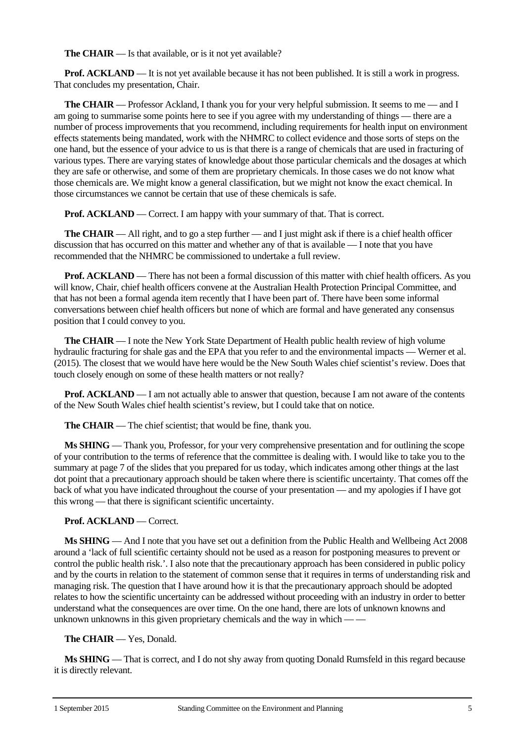**The CHAIR** — Is that available, or is it not yet available?

**Prof. ACKLAND** — It is not yet available because it has not been published. It is still a work in progress. That concludes my presentation, Chair.

**The CHAIR** — Professor Ackland, I thank you for your very helpful submission. It seems to me — and I am going to summarise some points here to see if you agree with my understanding of things — there are a number of process improvements that you recommend, including requirements for health input on environment effects statements being mandated, work with the NHMRC to collect evidence and those sorts of steps on the one hand, but the essence of your advice to us is that there is a range of chemicals that are used in fracturing of various types. There are varying states of knowledge about those particular chemicals and the dosages at which they are safe or otherwise, and some of them are proprietary chemicals. In those cases we do not know what those chemicals are. We might know a general classification, but we might not know the exact chemical. In those circumstances we cannot be certain that use of these chemicals is safe.

**Prof. ACKLAND** — Correct. I am happy with your summary of that. That is correct.

**The CHAIR** — All right, and to go a step further — and I just might ask if there is a chief health officer discussion that has occurred on this matter and whether any of that is available — I note that you have recommended that the NHMRC be commissioned to undertake a full review.

**Prof. ACKLAND** — There has not been a formal discussion of this matter with chief health officers. As you will know, Chair, chief health officers convene at the Australian Health Protection Principal Committee, and that has not been a formal agenda item recently that I have been part of. There have been some informal conversations between chief health officers but none of which are formal and have generated any consensus position that I could convey to you.

**The CHAIR** — I note the New York State Department of Health public health review of high volume hydraulic fracturing for shale gas and the EPA that you refer to and the environmental impacts — Werner et al. (2015). The closest that we would have here would be the New South Wales chief scientist's review. Does that touch closely enough on some of these health matters or not really?

**Prof. ACKLAND** — I am not actually able to answer that question, because I am not aware of the contents of the New South Wales chief health scientist's review, but I could take that on notice.

**The CHAIR** — The chief scientist; that would be fine, thank you.

**Ms SHING** — Thank you, Professor, for your very comprehensive presentation and for outlining the scope of your contribution to the terms of reference that the committee is dealing with. I would like to take you to the summary at page 7 of the slides that you prepared for us today, which indicates among other things at the last dot point that a precautionary approach should be taken where there is scientific uncertainty. That comes off the back of what you have indicated throughout the course of your presentation — and my apologies if I have got this wrong — that there is significant scientific uncertainty.

#### **Prof. ACKLAND** — Correct.

**Ms SHING** — And I note that you have set out a definition from the Public Health and Wellbeing Act 2008 around a 'lack of full scientific certainty should not be used as a reason for postponing measures to prevent or control the public health risk.'. I also note that the precautionary approach has been considered in public policy and by the courts in relation to the statement of common sense that it requires in terms of understanding risk and managing risk. The question that I have around how it is that the precautionary approach should be adopted relates to how the scientific uncertainty can be addressed without proceeding with an industry in order to better understand what the consequences are over time. On the one hand, there are lots of unknown knowns and unknown unknowns in this given proprietary chemicals and the way in which — —

#### **The CHAIR** — Yes, Donald.

**Ms SHING** — That is correct, and I do not shy away from quoting Donald Rumsfeld in this regard because it is directly relevant.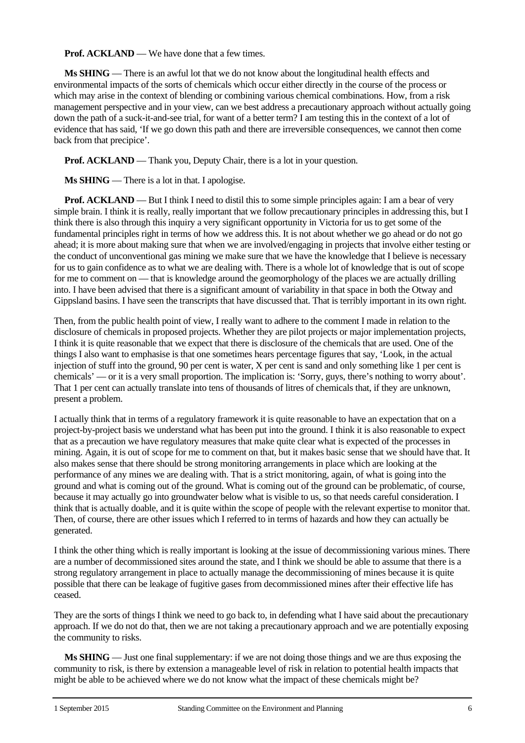**Prof. ACKLAND** — We have done that a few times.

**Ms SHING** — There is an awful lot that we do not know about the longitudinal health effects and environmental impacts of the sorts of chemicals which occur either directly in the course of the process or which may arise in the context of blending or combining various chemical combinations. How, from a risk management perspective and in your view, can we best address a precautionary approach without actually going down the path of a suck-it-and-see trial, for want of a better term? I am testing this in the context of a lot of evidence that has said, 'If we go down this path and there are irreversible consequences, we cannot then come back from that precipice'.

**Prof. ACKLAND** — Thank you, Deputy Chair, there is a lot in your question.

**Ms SHING** — There is a lot in that. I apologise.

**Prof. ACKLAND** — But I think I need to distil this to some simple principles again: I am a bear of very simple brain. I think it is really, really important that we follow precautionary principles in addressing this, but I think there is also through this inquiry a very significant opportunity in Victoria for us to get some of the fundamental principles right in terms of how we address this. It is not about whether we go ahead or do not go ahead; it is more about making sure that when we are involved/engaging in projects that involve either testing or the conduct of unconventional gas mining we make sure that we have the knowledge that I believe is necessary for us to gain confidence as to what we are dealing with. There is a whole lot of knowledge that is out of scope for me to comment on — that is knowledge around the geomorphology of the places we are actually drilling into. I have been advised that there is a significant amount of variability in that space in both the Otway and Gippsland basins. I have seen the transcripts that have discussed that. That is terribly important in its own right.

Then, from the public health point of view, I really want to adhere to the comment I made in relation to the disclosure of chemicals in proposed projects. Whether they are pilot projects or major implementation projects, I think it is quite reasonable that we expect that there is disclosure of the chemicals that are used. One of the things I also want to emphasise is that one sometimes hears percentage figures that say, 'Look, in the actual injection of stuff into the ground, 90 per cent is water, X per cent is sand and only something like 1 per cent is chemicals' — or it is a very small proportion. The implication is: 'Sorry, guys, there's nothing to worry about'. That 1 per cent can actually translate into tens of thousands of litres of chemicals that, if they are unknown, present a problem.

I actually think that in terms of a regulatory framework it is quite reasonable to have an expectation that on a project-by-project basis we understand what has been put into the ground. I think it is also reasonable to expect that as a precaution we have regulatory measures that make quite clear what is expected of the processes in mining. Again, it is out of scope for me to comment on that, but it makes basic sense that we should have that. It also makes sense that there should be strong monitoring arrangements in place which are looking at the performance of any mines we are dealing with. That is a strict monitoring, again, of what is going into the ground and what is coming out of the ground. What is coming out of the ground can be problematic, of course, because it may actually go into groundwater below what is visible to us, so that needs careful consideration. I think that is actually doable, and it is quite within the scope of people with the relevant expertise to monitor that. Then, of course, there are other issues which I referred to in terms of hazards and how they can actually be generated.

I think the other thing which is really important is looking at the issue of decommissioning various mines. There are a number of decommissioned sites around the state, and I think we should be able to assume that there is a strong regulatory arrangement in place to actually manage the decommissioning of mines because it is quite possible that there can be leakage of fugitive gases from decommissioned mines after their effective life has ceased.

They are the sorts of things I think we need to go back to, in defending what I have said about the precautionary approach. If we do not do that, then we are not taking a precautionary approach and we are potentially exposing the community to risks.

**Ms SHING** — Just one final supplementary: if we are not doing those things and we are thus exposing the community to risk, is there by extension a manageable level of risk in relation to potential health impacts that might be able to be achieved where we do not know what the impact of these chemicals might be?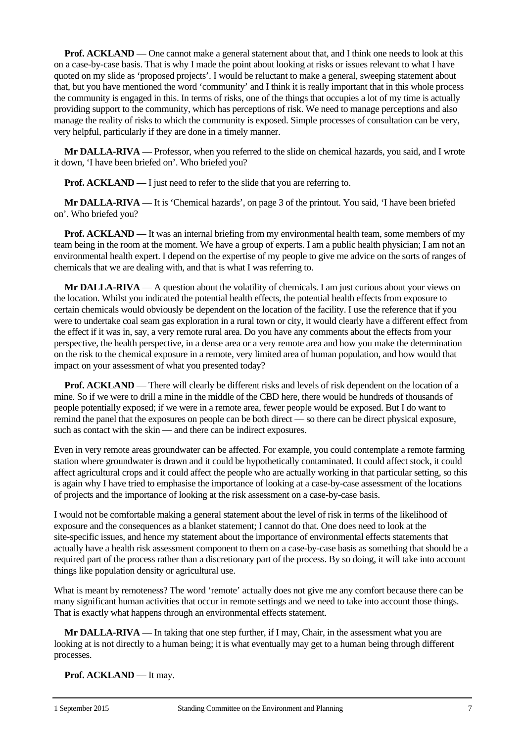**Prof. ACKLAND** — One cannot make a general statement about that, and I think one needs to look at this on a case-by-case basis. That is why I made the point about looking at risks or issues relevant to what I have quoted on my slide as 'proposed projects'. I would be reluctant to make a general, sweeping statement about that, but you have mentioned the word 'community' and I think it is really important that in this whole process the community is engaged in this. In terms of risks, one of the things that occupies a lot of my time is actually providing support to the community, which has perceptions of risk. We need to manage perceptions and also manage the reality of risks to which the community is exposed. Simple processes of consultation can be very, very helpful, particularly if they are done in a timely manner.

**Mr DALLA-RIVA** — Professor, when you referred to the slide on chemical hazards, you said, and I wrote it down, 'I have been briefed on'. Who briefed you?

**Prof. ACKLAND** — I just need to refer to the slide that you are referring to.

**Mr DALLA-RIVA** — It is 'Chemical hazards', on page 3 of the printout. You said, 'I have been briefed on'. Who briefed you?

**Prof. ACKLAND** — It was an internal briefing from my environmental health team, some members of my team being in the room at the moment. We have a group of experts. I am a public health physician; I am not an environmental health expert. I depend on the expertise of my people to give me advice on the sorts of ranges of chemicals that we are dealing with, and that is what I was referring to.

**Mr DALLA-RIVA** — A question about the volatility of chemicals. I am just curious about your views on the location. Whilst you indicated the potential health effects, the potential health effects from exposure to certain chemicals would obviously be dependent on the location of the facility. I use the reference that if you were to undertake coal seam gas exploration in a rural town or city, it would clearly have a different effect from the effect if it was in, say, a very remote rural area. Do you have any comments about the effects from your perspective, the health perspective, in a dense area or a very remote area and how you make the determination on the risk to the chemical exposure in a remote, very limited area of human population, and how would that impact on your assessment of what you presented today?

**Prof. ACKLAND** — There will clearly be different risks and levels of risk dependent on the location of a mine. So if we were to drill a mine in the middle of the CBD here, there would be hundreds of thousands of people potentially exposed; if we were in a remote area, fewer people would be exposed. But I do want to remind the panel that the exposures on people can be both direct — so there can be direct physical exposure, such as contact with the skin — and there can be indirect exposures.

Even in very remote areas groundwater can be affected. For example, you could contemplate a remote farming station where groundwater is drawn and it could be hypothetically contaminated. It could affect stock, it could affect agricultural crops and it could affect the people who are actually working in that particular setting, so this is again why I have tried to emphasise the importance of looking at a case-by-case assessment of the locations of projects and the importance of looking at the risk assessment on a case-by-case basis.

I would not be comfortable making a general statement about the level of risk in terms of the likelihood of exposure and the consequences as a blanket statement; I cannot do that. One does need to look at the site-specific issues, and hence my statement about the importance of environmental effects statements that actually have a health risk assessment component to them on a case-by-case basis as something that should be a required part of the process rather than a discretionary part of the process. By so doing, it will take into account things like population density or agricultural use.

What is meant by remoteness? The word 'remote' actually does not give me any comfort because there can be many significant human activities that occur in remote settings and we need to take into account those things. That is exactly what happens through an environmental effects statement.

**Mr DALLA-RIVA** — In taking that one step further, if I may, Chair, in the assessment what you are looking at is not directly to a human being; it is what eventually may get to a human being through different processes.

Prof. **ACKLAND** — It may.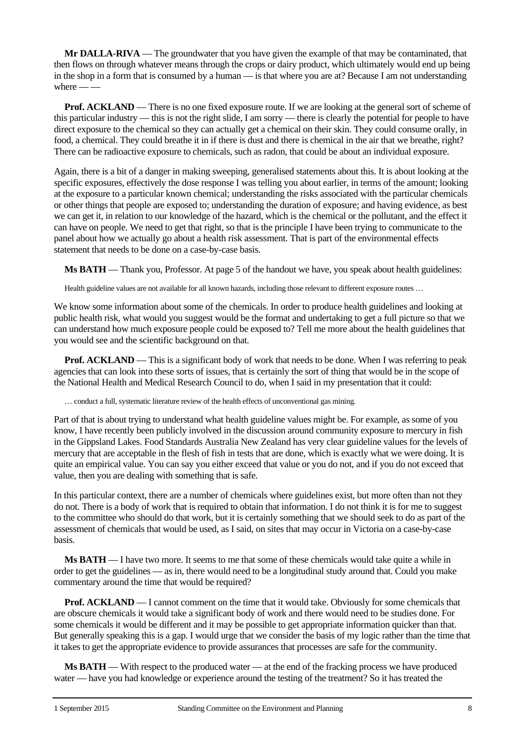**Mr DALLA-RIVA** — The groundwater that you have given the example of that may be contaminated, that then flows on through whatever means through the crops or dairy product, which ultimately would end up being in the shop in a form that is consumed by a human — is that where you are at? Because I am not understanding where  $-$ 

**Prof. ACKLAND** — There is no one fixed exposure route. If we are looking at the general sort of scheme of this particular industry — this is not the right slide, I am sorry — there is clearly the potential for people to have direct exposure to the chemical so they can actually get a chemical on their skin. They could consume orally, in food, a chemical. They could breathe it in if there is dust and there is chemical in the air that we breathe, right? There can be radioactive exposure to chemicals, such as radon, that could be about an individual exposure.

Again, there is a bit of a danger in making sweeping, generalised statements about this. It is about looking at the specific exposures, effectively the dose response I was telling you about earlier, in terms of the amount; looking at the exposure to a particular known chemical; understanding the risks associated with the particular chemicals or other things that people are exposed to; understanding the duration of exposure; and having evidence, as best we can get it, in relation to our knowledge of the hazard, which is the chemical or the pollutant, and the effect it can have on people. We need to get that right, so that is the principle I have been trying to communicate to the panel about how we actually go about a health risk assessment. That is part of the environmental effects statement that needs to be done on a case-by-case basis.

**Ms BATH** — Thank you, Professor. At page 5 of the handout we have, you speak about health guidelines:

Health guideline values are not available for all known hazards, including those relevant to different exposure routes ...

We know some information about some of the chemicals. In order to produce health guidelines and looking at public health risk, what would you suggest would be the format and undertaking to get a full picture so that we can understand how much exposure people could be exposed to? Tell me more about the health guidelines that you would see and the scientific background on that.

**Prof. ACKLAND** — This is a significant body of work that needs to be done. When I was referring to peak agencies that can look into these sorts of issues, that is certainly the sort of thing that would be in the scope of the National Health and Medical Research Council to do, when I said in my presentation that it could:

… conduct a full, systematic literature review of the health effects of unconventional gas mining.

Part of that is about trying to understand what health guideline values might be. For example, as some of you know, I have recently been publicly involved in the discussion around community exposure to mercury in fish in the Gippsland Lakes. Food Standards Australia New Zealand has very clear guideline values for the levels of mercury that are acceptable in the flesh of fish in tests that are done, which is exactly what we were doing. It is quite an empirical value. You can say you either exceed that value or you do not, and if you do not exceed that value, then you are dealing with something that is safe.

In this particular context, there are a number of chemicals where guidelines exist, but more often than not they do not. There is a body of work that is required to obtain that information. I do not think it is for me to suggest to the committee who should do that work, but it is certainly something that we should seek to do as part of the assessment of chemicals that would be used, as I said, on sites that may occur in Victoria on a case-by-case basis.

**Ms BATH** — I have two more. It seems to me that some of these chemicals would take quite a while in order to get the guidelines — as in, there would need to be a longitudinal study around that. Could you make commentary around the time that would be required?

**Prof. ACKLAND** — I cannot comment on the time that it would take. Obviously for some chemicals that are obscure chemicals it would take a significant body of work and there would need to be studies done. For some chemicals it would be different and it may be possible to get appropriate information quicker than that. But generally speaking this is a gap. I would urge that we consider the basis of my logic rather than the time that it takes to get the appropriate evidence to provide assurances that processes are safe for the community.

**Ms BATH** — With respect to the produced water — at the end of the fracking process we have produced water — have you had knowledge or experience around the testing of the treatment? So it has treated the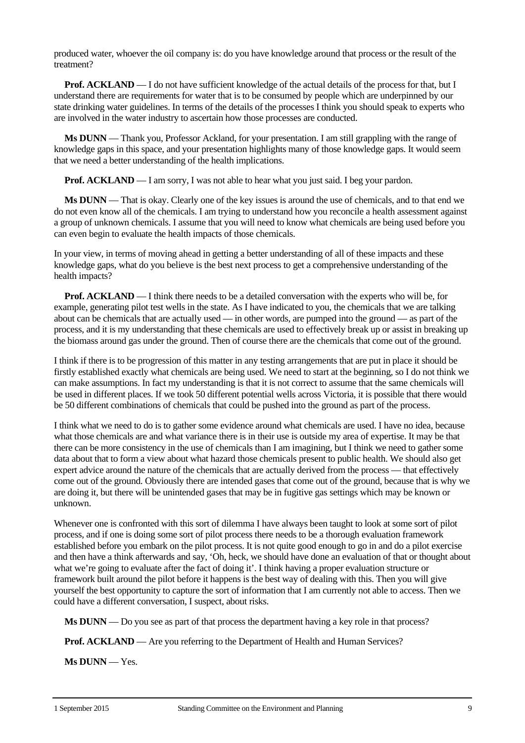produced water, whoever the oil company is: do you have knowledge around that process or the result of the treatment?

**Prof. ACKLAND** — I do not have sufficient knowledge of the actual details of the process for that, but I understand there are requirements for water that is to be consumed by people which are underpinned by our state drinking water guidelines. In terms of the details of the processes I think you should speak to experts who are involved in the water industry to ascertain how those processes are conducted.

**Ms DUNN** — Thank you, Professor Ackland, for your presentation. I am still grappling with the range of knowledge gaps in this space, and your presentation highlights many of those knowledge gaps. It would seem that we need a better understanding of the health implications.

**Prof. ACKLAND** — I am sorry. I was not able to hear what you just said. I beg your pardon.

**Ms DUNN** — That is okay. Clearly one of the key issues is around the use of chemicals, and to that end we do not even know all of the chemicals. I am trying to understand how you reconcile a health assessment against a group of unknown chemicals. I assume that you will need to know what chemicals are being used before you can even begin to evaluate the health impacts of those chemicals.

In your view, in terms of moving ahead in getting a better understanding of all of these impacts and these knowledge gaps, what do you believe is the best next process to get a comprehensive understanding of the health impacts?

**Prof. ACKLAND** — I think there needs to be a detailed conversation with the experts who will be, for example, generating pilot test wells in the state. As I have indicated to you, the chemicals that we are talking about can be chemicals that are actually used — in other words, are pumped into the ground — as part of the process, and it is my understanding that these chemicals are used to effectively break up or assist in breaking up the biomass around gas under the ground. Then of course there are the chemicals that come out of the ground.

I think if there is to be progression of this matter in any testing arrangements that are put in place it should be firstly established exactly what chemicals are being used. We need to start at the beginning, so I do not think we can make assumptions. In fact my understanding is that it is not correct to assume that the same chemicals will be used in different places. If we took 50 different potential wells across Victoria, it is possible that there would be 50 different combinations of chemicals that could be pushed into the ground as part of the process.

I think what we need to do is to gather some evidence around what chemicals are used. I have no idea, because what those chemicals are and what variance there is in their use is outside my area of expertise. It may be that there can be more consistency in the use of chemicals than I am imagining, but I think we need to gather some data about that to form a view about what hazard those chemicals present to public health. We should also get expert advice around the nature of the chemicals that are actually derived from the process — that effectively come out of the ground. Obviously there are intended gases that come out of the ground, because that is why we are doing it, but there will be unintended gases that may be in fugitive gas settings which may be known or unknown.

Whenever one is confronted with this sort of dilemma I have always been taught to look at some sort of pilot process, and if one is doing some sort of pilot process there needs to be a thorough evaluation framework established before you embark on the pilot process. It is not quite good enough to go in and do a pilot exercise and then have a think afterwards and say, 'Oh, heck, we should have done an evaluation of that or thought about what we're going to evaluate after the fact of doing it'. I think having a proper evaluation structure or framework built around the pilot before it happens is the best way of dealing with this. Then you will give yourself the best opportunity to capture the sort of information that I am currently not able to access. Then we could have a different conversation, I suspect, about risks.

**Ms DUNN** — Do you see as part of that process the department having a key role in that process?

**Prof. ACKLAND** — Are you referring to the Department of Health and Human Services?

**Ms DUNN** — Yes.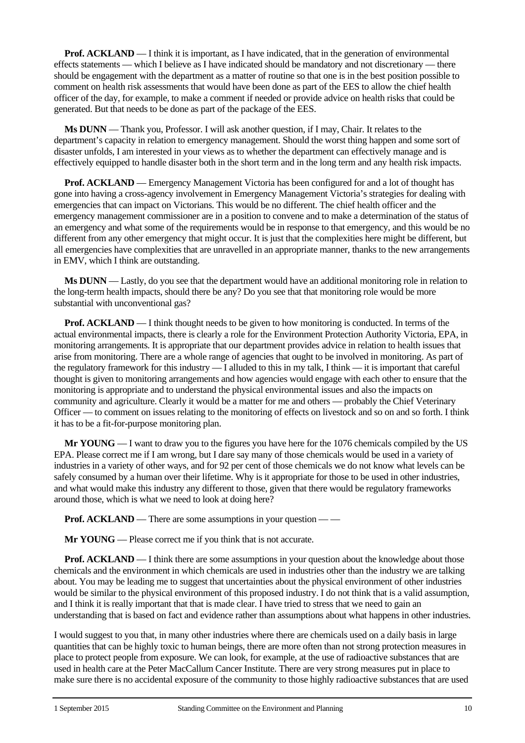**Prof. ACKLAND** — I think it is important, as I have indicated, that in the generation of environmental effects statements — which I believe as I have indicated should be mandatory and not discretionary — there should be engagement with the department as a matter of routine so that one is in the best position possible to comment on health risk assessments that would have been done as part of the EES to allow the chief health officer of the day, for example, to make a comment if needed or provide advice on health risks that could be generated. But that needs to be done as part of the package of the EES.

**Ms DUNN** — Thank you, Professor. I will ask another question, if I may, Chair. It relates to the department's capacity in relation to emergency management. Should the worst thing happen and some sort of disaster unfolds, I am interested in your views as to whether the department can effectively manage and is effectively equipped to handle disaster both in the short term and in the long term and any health risk impacts.

**Prof. ACKLAND** — Emergency Management Victoria has been configured for and a lot of thought has gone into having a cross-agency involvement in Emergency Management Victoria's strategies for dealing with emergencies that can impact on Victorians. This would be no different. The chief health officer and the emergency management commissioner are in a position to convene and to make a determination of the status of an emergency and what some of the requirements would be in response to that emergency, and this would be no different from any other emergency that might occur. It is just that the complexities here might be different, but all emergencies have complexities that are unravelled in an appropriate manner, thanks to the new arrangements in EMV, which I think are outstanding.

**Ms DUNN** — Lastly, do you see that the department would have an additional monitoring role in relation to the long-term health impacts, should there be any? Do you see that that monitoring role would be more substantial with unconventional gas?

**Prof. ACKLAND** — I think thought needs to be given to how monitoring is conducted. In terms of the actual environmental impacts, there is clearly a role for the Environment Protection Authority Victoria, EPA, in monitoring arrangements. It is appropriate that our department provides advice in relation to health issues that arise from monitoring. There are a whole range of agencies that ought to be involved in monitoring. As part of the regulatory framework for this industry — I alluded to this in my talk, I think — it is important that careful thought is given to monitoring arrangements and how agencies would engage with each other to ensure that the monitoring is appropriate and to understand the physical environmental issues and also the impacts on community and agriculture. Clearly it would be a matter for me and others — probably the Chief Veterinary Officer — to comment on issues relating to the monitoring of effects on livestock and so on and so forth. I think it has to be a fit-for-purpose monitoring plan.

**Mr YOUNG** — I want to draw you to the figures you have here for the 1076 chemicals compiled by the US EPA. Please correct me if I am wrong, but I dare say many of those chemicals would be used in a variety of industries in a variety of other ways, and for 92 per cent of those chemicals we do not know what levels can be safely consumed by a human over their lifetime. Why is it appropriate for those to be used in other industries, and what would make this industry any different to those, given that there would be regulatory frameworks around those, which is what we need to look at doing here?

**Prof. ACKLAND** — There are some assumptions in your question — —

**Mr YOUNG** — Please correct me if you think that is not accurate.

**Prof. ACKLAND** — I think there are some assumptions in your question about the knowledge about those chemicals and the environment in which chemicals are used in industries other than the industry we are talking about. You may be leading me to suggest that uncertainties about the physical environment of other industries would be similar to the physical environment of this proposed industry. I do not think that is a valid assumption, and I think it is really important that that is made clear. I have tried to stress that we need to gain an understanding that is based on fact and evidence rather than assumptions about what happens in other industries.

I would suggest to you that, in many other industries where there are chemicals used on a daily basis in large quantities that can be highly toxic to human beings, there are more often than not strong protection measures in place to protect people from exposure. We can look, for example, at the use of radioactive substances that are used in health care at the Peter MacCallum Cancer Institute. There are very strong measures put in place to make sure there is no accidental exposure of the community to those highly radioactive substances that are used